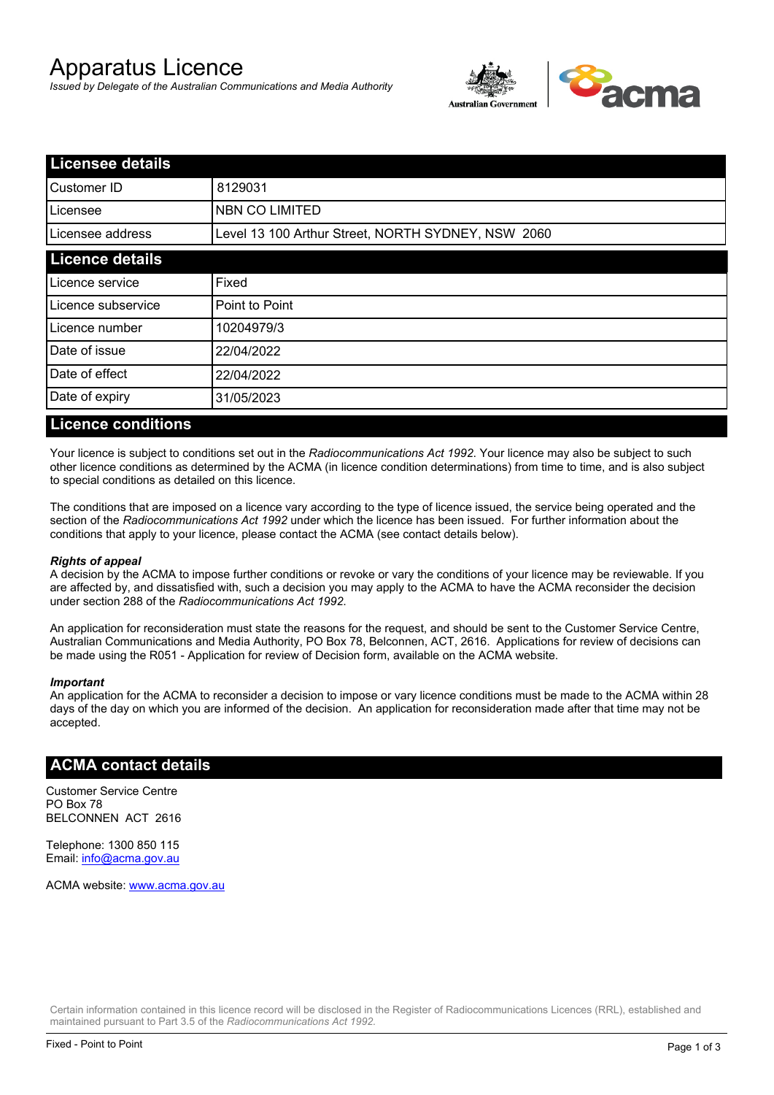# Apparatus Licence

*Issued by Delegate of the Australian Communications and Media Authority*



| <b>Licensee details</b> |                                                    |  |
|-------------------------|----------------------------------------------------|--|
| Customer ID             | 8129031                                            |  |
| ILicensee               | <b>NBN CO LIMITED</b>                              |  |
| Licensee address        | Level 13 100 Arthur Street, NORTH SYDNEY, NSW 2060 |  |
| <b>Licence details</b>  |                                                    |  |
| Licence service         | Fixed                                              |  |
| Licence subservice      | Point to Point                                     |  |
| Licence number          | 10204979/3                                         |  |
| Date of issue           | 22/04/2022                                         |  |
| Date of effect          | 22/04/2022                                         |  |
| Date of expiry          | 31/05/2023                                         |  |
|                         |                                                    |  |

#### **Licence conditions**

Your licence is subject to conditions set out in the *Radiocommunications Act 1992*. Your licence may also be subject to such other licence conditions as determined by the ACMA (in licence condition determinations) from time to time, and is also subject to special conditions as detailed on this licence.

The conditions that are imposed on a licence vary according to the type of licence issued, the service being operated and the section of the *Radiocommunications Act 1992* under which the licence has been issued. For further information about the conditions that apply to your licence, please contact the ACMA (see contact details below).

#### *Rights of appeal*

A decision by the ACMA to impose further conditions or revoke or vary the conditions of your licence may be reviewable. If you are affected by, and dissatisfied with, such a decision you may apply to the ACMA to have the ACMA reconsider the decision under section 288 of the *Radiocommunications Act 1992*.

An application for reconsideration must state the reasons for the request, and should be sent to the Customer Service Centre, Australian Communications and Media Authority, PO Box 78, Belconnen, ACT, 2616. Applications for review of decisions can be made using the R051 - Application for review of Decision form, available on the ACMA website.

#### *Important*

An application for the ACMA to reconsider a decision to impose or vary licence conditions must be made to the ACMA within 28 days of the day on which you are informed of the decision. An application for reconsideration made after that time may not be accepted.

#### **ACMA contact details**

Customer Service Centre PO Box 78 BELCONNEN ACT 2616

Telephone: 1300 850 115 Email: info@acma.gov.au

ACMA website: www.acma.gov.au

Certain information contained in this licence record will be disclosed in the Register of Radiocommunications Licences (RRL), established and maintained pursuant to Part 3.5 of the *Radiocommunications Act 1992.*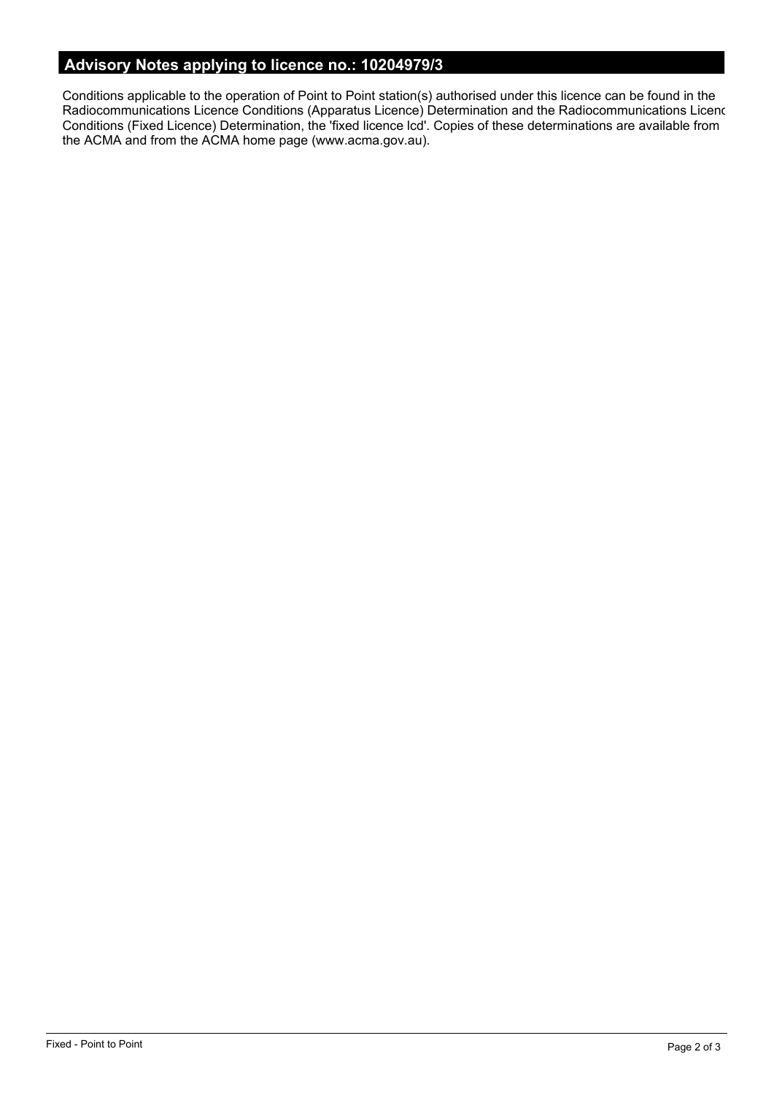# **Advisory Notes applying to licence no.: 10204979/3**

Conditions applicable to the operation of Point to Point station(s) authorised under this licence can be found in the Radiocommunications Licence Conditions (Apparatus Licence) Determination and the Radiocommunications Licence Conditions (Fixed Licence) Determination, the 'fixed licence lcd'. Copies of these determinations are available from the ACMA and from the ACMA home page (www.acma.gov.au).